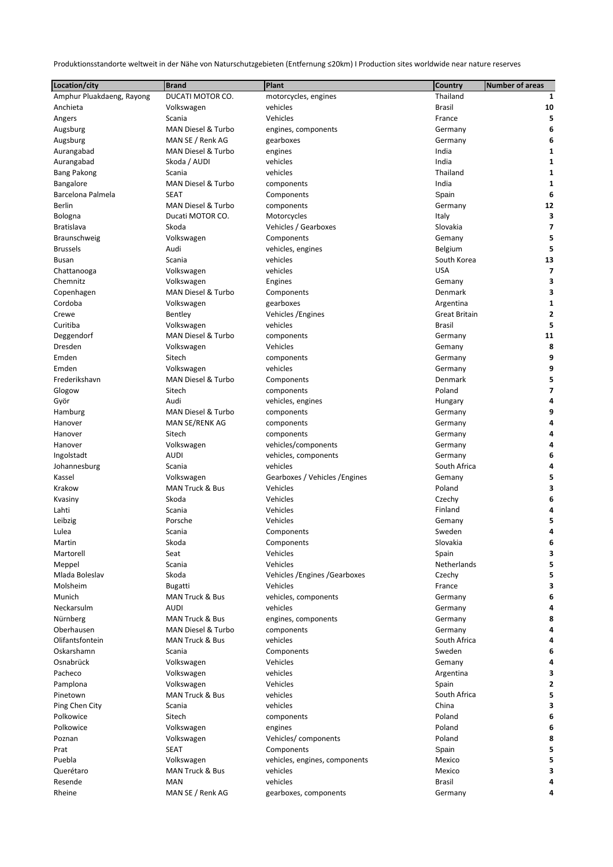Produktionsstandorte weltweit in der Nähe von Naturschutzgebieten (Entfernung ≤20km) I Production sites worldwide near nature reserves

| Location/city             | <b>Brand</b>       | Plant                          | <b>Country</b>       | <b>Number of areas</b> |
|---------------------------|--------------------|--------------------------------|----------------------|------------------------|
| Amphur Pluakdaeng, Rayong | DUCATI MOTOR CO.   | motorcycles, engines           | Thailand             | 1                      |
| Anchieta                  | Volkswagen         | vehicles                       | <b>Brasil</b>        | 10                     |
| Angers                    | Scania             | Vehicles                       | France               | 5                      |
| Augsburg                  | MAN Diesel & Turbo | engines, components            | Germany              | 6                      |
| Augsburg                  | MAN SE / Renk AG   | gearboxes                      | Germany              | 6                      |
| Aurangabad                | MAN Diesel & Turbo | engines                        | India                | 1                      |
| Aurangabad                | Skoda / AUDI       | vehicles                       | India                | 1                      |
| <b>Bang Pakong</b>        | Scania             | vehicles                       | Thailand             | 1                      |
| Bangalore                 | MAN Diesel & Turbo | components                     | India                | 1                      |
| Barcelona Palmela         | <b>SEAT</b>        | Components                     | Spain                | 6                      |
| <b>Berlin</b>             | MAN Diesel & Turbo | components                     | Germany              | 12                     |
| Bologna                   | Ducati MOTOR CO.   | Motorcycles                    | Italy                | 3                      |
| <b>Bratislava</b>         | Skoda              | Vehicles / Gearboxes           | Slovakia             | 7                      |
| Braunschweig              | Volkswagen         | Components                     | Gemany               | 5                      |
| <b>Brussels</b>           | Audi               | vehicles, engines              | Belgium              | 5                      |
| <b>Busan</b>              | Scania             | vehicles                       | South Korea          | 13                     |
| Chattanooga               | Volkswagen         | vehicles                       | <b>USA</b>           | 7                      |
| Chemnitz                  | Volkswagen         | Engines                        | Gemany               | 3                      |
| Copenhagen                | MAN Diesel & Turbo | Components                     | Denmark              | 3                      |
| Cordoba                   | Volkswagen         | gearboxes                      | Argentina            | 1                      |
| Crewe                     | Bentley            | Vehicles / Engines             | <b>Great Britain</b> | 2                      |
| Curitiba                  | Volkswagen         | vehicles                       | <b>Brasil</b>        | 5                      |
| Deggendorf                | MAN Diesel & Turbo | components                     | Germany              | 11                     |
| Dresden                   | Volkswagen         | Vehicles                       | Gemany               | 8                      |
| Emden                     | Sitech             | components                     | Germany              | 9                      |
| Emden                     | Volkswagen         | vehicles                       | Germany              | 9                      |
| Frederikshavn             | MAN Diesel & Turbo | Components                     | Denmark              | 5                      |
| Glogow                    | Sitech             | components                     | Poland               | 7                      |
| Györ                      | Audi               | vehicles, engines              | Hungary              | 4                      |
| Hamburg                   | MAN Diesel & Turbo | components                     | Germany              | 9                      |
| Hanover                   | MAN SE/RENK AG     | components                     | Germany              | 4                      |
| Hanover                   | Sitech             | components                     | Germany              | 4                      |
| Hanover                   | Volkswagen         | vehicles/components            | Germany              | 4                      |
| Ingolstadt                | <b>AUDI</b>        | vehicles, components           | Germany              | 6                      |
| Johannesburg              | Scania             | vehicles                       | South Africa         | 4                      |
| Kassel                    | Volkswagen         | Gearboxes / Vehicles / Engines | Gemany               | 5                      |
| Krakow                    | MAN Truck & Bus    | Vehicles                       | Poland               | 3                      |
| Kvasiny                   | Skoda              | Vehicles                       | Czechy               | 6                      |
| Lahti                     | Scania             | Vehicles                       | Finland              | 4                      |
| Leibzig                   | Porsche            | Vehicles                       | Gemany               | 5                      |
| Lulea                     | Scania             | Components                     | Sweden               | 4                      |
| Martin                    | Skoda              |                                | Slovakia             | 6                      |
| Martorell                 | Seat               | Components<br>Vehicles         |                      |                        |
|                           | Scania             | Vehicles                       | Spain<br>Netherlands | 3<br>5                 |
| Meppel                    |                    |                                |                      |                        |
| Mlada Boleslav            | Skoda              | Vehicles / Engines / Gearboxes | Czechy               | 5                      |
| Molsheim                  | <b>Bugatti</b>     | Vehicles                       | France               | 3                      |
| Munich                    | MAN Truck & Bus    | vehicles, components           | Germany              | 6                      |
| Neckarsulm                | <b>AUDI</b>        | vehicles                       | Germany              | 4                      |
| Nürnberg                  | MAN Truck & Bus    | engines, components            | Germany              | 8                      |
| Oberhausen                | MAN Diesel & Turbo | components                     | Germany              | 4                      |
| Olifantsfontein           | MAN Truck & Bus    | vehicles                       | South Africa         |                        |
| Oskarshamn                | Scania             | Components                     | Sweden               | 6                      |
| Osnabrück                 | Volkswagen         | Vehicles                       | Gemany               |                        |
| Pacheco                   | Volkswagen         | vehicles                       | Argentina            | 3                      |

Pamplona **1988 March 2018** Volkswagen **Vehicles** Vehicles Spain Spain Spain 2 Pinetown **MAN Truck & Bus** vehicles **1988** vehicles South Africa 5 Ping Chen City **Scania** Scania and Scania vehicles and the china china china **3** Polkowice **Example 2018** Sitech components **COMPONE COMPONE COMPONE COMPONE COMPONE COMPONE COMPONE COMPONE COMPONE COMPONE COMPONE COMPONE COMPONE COMPONE COMPONE COMPONE COMPONE COMPONE COMPONE COMPONE COMPONE COMPONE CO** Polkowice **Confluence Confluence Volkswagen** engines engines and the Poland Poland **6** Poznan Volkswagen Vehicles/ components Poland **8** Prat **SEAT** SEAT Components Seams Seams Spain Seams Seams Seams Seams Seams Seams Seams Seams Seams S Puebla Volkswagen vehicles, engines, components Mexico **5** Querétaro **1988 MAN Truck & Bus** vehicles **1988 Mexico** Mexico 3 Resende MAN vehicles Brasil **4** Rheine **MAN SE / Renk AG** gearboxes, components Germany Germany 4